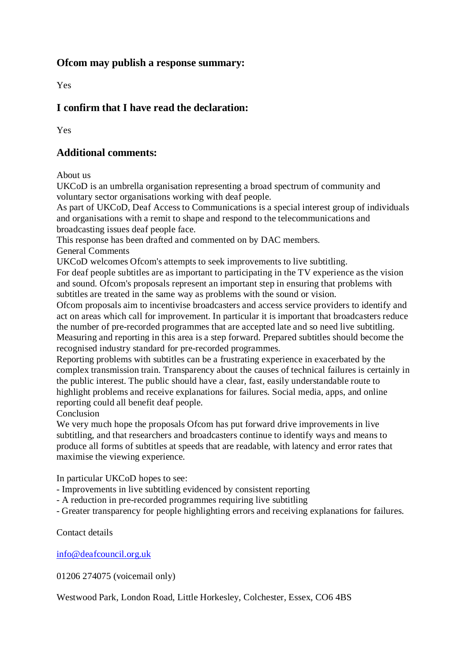### **Ofcom may publish a response summary:**

Yes

# **I confirm that I have read the declaration:**

Yes

### **Additional comments:**

About us

UKCoD is an umbrella organisation representing a broad spectrum of community and voluntary sector organisations working with deaf people.

As part of UKCoD, Deaf Access to Communications is a special interest group of individuals and organisations with a remit to shape and respond to the telecommunications and broadcasting issues deaf people face.

This response has been drafted and commented on by DAC members.

General Comments

UKCoD welcomes Ofcom's attempts to seek improvements to live subtitling.

For deaf people subtitles are as important to participating in the TV experience as the vision and sound. Ofcom's proposals represent an important step in ensuring that problems with subtitles are treated in the same way as problems with the sound or vision.

Ofcom proposals aim to incentivise broadcasters and access service providers to identify and act on areas which call for improvement. In particular it is important that broadcasters reduce the number of pre-recorded programmes that are accepted late and so need live subtitling. Measuring and reporting in this area is a step forward. Prepared subtitles should become the recognised industry standard for pre-recorded programmes.

Reporting problems with subtitles can be a frustrating experience in exacerbated by the complex transmission train. Transparency about the causes of technical failures is certainly in the public interest. The public should have a clear, fast, easily understandable route to highlight problems and receive explanations for failures. Social media, apps, and online reporting could all benefit deaf people.

Conclusion

We very much hope the proposals Ofcom has put forward drive improvements in live subtitling, and that researchers and broadcasters continue to identify ways and means to produce all forms of subtitles at speeds that are readable, with latency and error rates that maximise the viewing experience.

In particular UKCoD hopes to see:

- Improvements in live subtitling evidenced by consistent reporting
- A reduction in pre-recorded programmes requiring live subtitling
- Greater transparency for people highlighting errors and receiving explanations for failures.

Contact details

[info@deafcouncil.org.uk](mailto:info@deafcouncil.org.uk)

01206 274075 (voicemail only)

Westwood Park, London Road, Little Horkesley, Colchester, Essex, CO6 4BS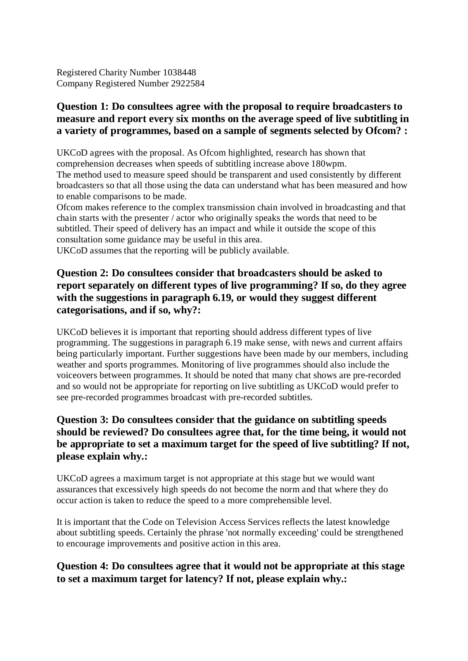Registered Charity Number 1038448 Company Registered Number 2922584

### **Question 1: Do consultees agree with the proposal to require broadcasters to measure and report every six months on the average speed of live subtitling in a variety of programmes, based on a sample of segments selected by Ofcom? :**

UKCoD agrees with the proposal. As Ofcom highlighted, research has shown that comprehension decreases when speeds of subtitling increase above 180wpm. The method used to measure speed should be transparent and used consistently by different broadcasters so that all those using the data can understand what has been measured and how to enable comparisons to be made.

Ofcom makes reference to the complex transmission chain involved in broadcasting and that chain starts with the presenter / actor who originally speaks the words that need to be subtitled. Their speed of delivery has an impact and while it outside the scope of this consultation some guidance may be useful in this area.

UKCoD assumes that the reporting will be publicly available.

### **Question 2: Do consultees consider that broadcasters should be asked to report separately on different types of live programming? If so, do they agree with the suggestions in paragraph 6.19, or would they suggest different categorisations, and if so, why?:**

UKCoD believes it is important that reporting should address different types of live programming. The suggestions in paragraph 6.19 make sense, with news and current affairs being particularly important. Further suggestions have been made by our members, including weather and sports programmes. Monitoring of live programmes should also include the voiceovers between programmes. It should be noted that many chat shows are pre-recorded and so would not be appropriate for reporting on live subtitling as UKCoD would prefer to see pre-recorded programmes broadcast with pre-recorded subtitles.

### **Question 3: Do consultees consider that the guidance on subtitling speeds should be reviewed? Do consultees agree that, for the time being, it would not be appropriate to set a maximum target for the speed of live subtitling? If not, please explain why.:**

UKCoD agrees a maximum target is not appropriate at this stage but we would want assurances that excessively high speeds do not become the norm and that where they do occur action is taken to reduce the speed to a more comprehensible level.

It is important that the Code on Television Access Services reflects the latest knowledge about subtitling speeds. Certainly the phrase 'not normally exceeding' could be strengthened to encourage improvements and positive action in this area.

### **Question 4: Do consultees agree that it would not be appropriate at this stage to set a maximum target for latency? If not, please explain why.:**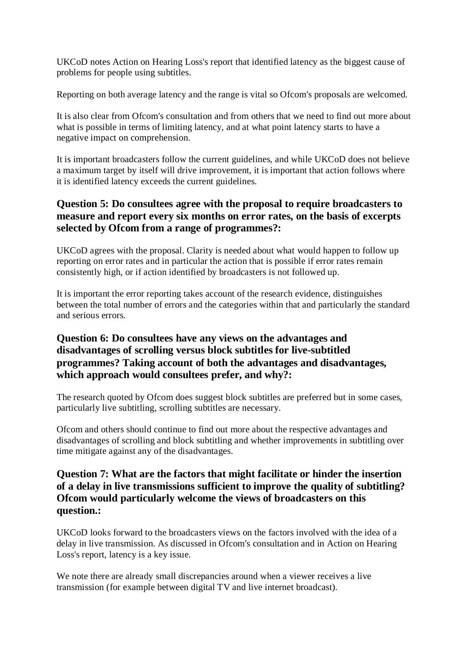UKCoD notes Action on Hearing Loss's report that identified latency as the biggest cause of problems for people using subtitles.

Reporting on both average latency and the range is vital so Ofcom's proposals are welcomed.

It is also clear from Ofcom's consultation and from others that we need to find out more about what is possible in terms of limiting latency, and at what point latency starts to have a negative impact on comprehension.

It is important broadcasters follow the current guidelines, and while UKCoD does not believe a maximum target by itself will drive improvement, it is important that action follows where it is identified latency exceeds the current guidelines.

### **Question 5: Do consultees agree with the proposal to require broadcasters to measure and report every six months on error rates, on the basis of excerpts selected by Ofcom from a range of programmes?:**

UKCoD agrees with the proposal. Clarity is needed about what would happen to follow up reporting on error rates and in particular the action that is possible if error rates remain consistently high, or if action identified by broadcasters is not followed up.

It is important the error reporting takes account of the research evidence, distinguishes between the total number of errors and the categories within that and particularly the standard and serious errors.

## **Question 6: Do consultees have any views on the advantages and disadvantages of scrolling versus block subtitles for live-subtitled programmes? Taking account of both the advantages and disadvantages, which approach would consultees prefer, and why?:**

The research quoted by Ofcom does suggest block subtitles are preferred but in some cases, particularly live subtitling, scrolling subtitles are necessary.

Ofcom and others should continue to find out more about the respective advantages and disadvantages of scrolling and block subtitling and whether improvements in subtitling over time mitigate against any of the disadvantages.

### **Question 7: What are the factors that might facilitate or hinder the insertion of a delay in live transmissions sufficient to improve the quality of subtitling? Ofcom would particularly welcome the views of broadcasters on this question.:**

UKCoD looks forward to the broadcasters views on the factors involved with the idea of a delay in live transmission. As discussed in Ofcom's consultation and in Action on Hearing Loss's report, latency is a key issue.

We note there are already small discrepancies around when a viewer receives a live transmission (for example between digital TV and live internet broadcast).